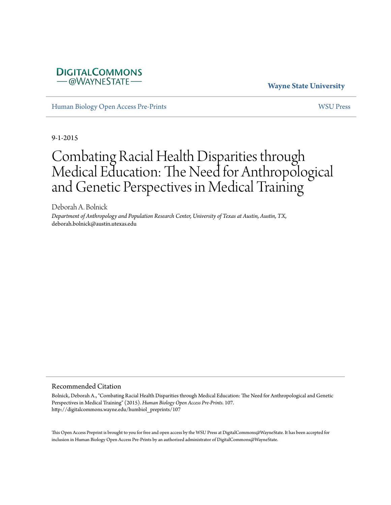# **DIGITALCOMMONS** -@WAYNESTATE

# **Wayne State University**

[Human Biology Open Access Pre-Prints](http://digitalcommons.wayne.edu/humbiol_preprints) [WSU Press](http://digitalcommons.wayne.edu/wsupress)

9-1-2015

# Combating Racial Health Disparities through Medical Education: The Need for Anthropological and Genetic Perspectives in Medical Training

Deborah A. Bolnick *Department of Anthropology and Population Research Center, University of Texas at Austin, Austin, TX*, deborah.bolnick@austin.utexas.edu

#### Recommended Citation

Bolnick, Deborah A., "Combating Racial Health Disparities through Medical Education: The Need for Anthropological and Genetic Perspectives in Medical Training" (2015). *Human Biology Open Access Pre-Prints*. 107. http://digitalcommons.wayne.edu/humbiol\_preprints/107

This Open Access Preprint is brought to you for free and open access by the WSU Press at DigitalCommons@WayneState. It has been accepted for inclusion in Human Biology Open Access Pre-Prints by an authorized administrator of DigitalCommons@WayneState.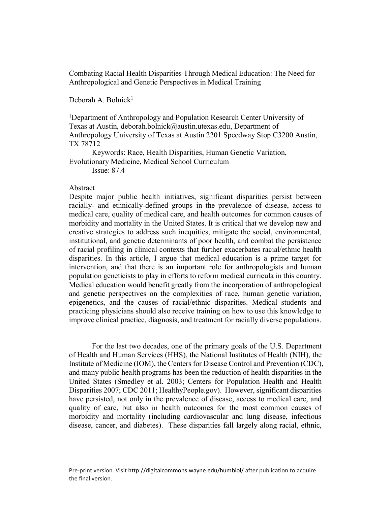Combating Racial Health Disparities Through Medical Education: The Need for Anthropological and Genetic Perspectives in Medical Training

#### Deborah A. Bolnick $<sup>1</sup>$ </sup>

<sup>1</sup>Department of Anthropology and Population Research Center University of Texas at Austin, deborah.bolnick@austin.utexas.edu, Department of Anthropology University of Texas at Austin 2201 Speedway Stop C3200 Austin, TX 78712

Keywords: Race, Health Disparities, Human Genetic Variation, Evolutionary Medicine, Medical School Curriculum Issue: 87.4

# Abstract

Despite major public health initiatives, significant disparities persist between racially- and ethnically-defined groups in the prevalence of disease, access to medical care, quality of medical care, and health outcomes for common causes of morbidity and mortality in the United States. It is critical that we develop new and creative strategies to address such inequities, mitigate the social, environmental, institutional, and genetic determinants of poor health, and combat the persistence of racial profiling in clinical contexts that further exacerbates racial/ethnic health disparities. In this article, I argue that medical education is a prime target for intervention, and that there is an important role for anthropologists and human population geneticists to play in efforts to reform medical curricula in this country. Medical education would benefit greatly from the incorporation of anthropological and genetic perspectives on the complexities of race, human genetic variation, epigenetics, and the causes of racial/ethnic disparities. Medical students and practicing physicians should also receive training on how to use this knowledge to improve clinical practice, diagnosis, and treatment for racially diverse populations.

For the last two decades, one of the primary goals of the U.S. Department of Health and Human Services (HHS), the National Institutes of Health (NIH), the Institute of Medicine (IOM), the Centers for Disease Control and Prevention (CDC), and many public health programs has been the reduction of health disparities in the United States (Smedley et al. 2003; Centers for Population Health and Health Disparities 2007; CDC 2011; HealthyPeople.gov). However, significant disparities have persisted, not only in the prevalence of disease, access to medical care, and quality of care, but also in health outcomes for the most common causes of morbidity and mortality (including cardiovascular and lung disease, infectious disease, cancer, and diabetes). These disparities fall largely along racial, ethnic,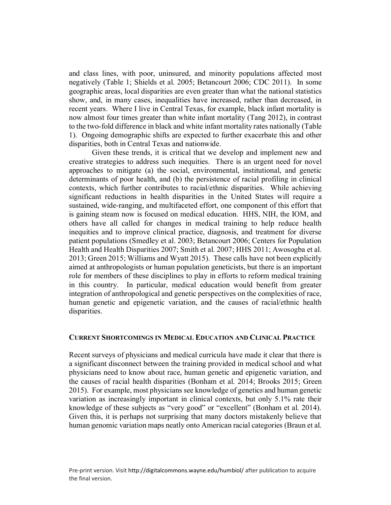and class lines, with poor, uninsured, and minority populations affected most negatively (Table 1; Shields et al. 2005; Betancourt 2006; CDC 2011). In some geographic areas, local disparities are even greater than what the national statistics show, and, in many cases, inequalities have increased, rather than decreased, in recent years. Where I live in Central Texas, for example, black infant mortality is now almost four times greater than white infant mortality (Tang 2012), in contrast to the two-fold difference in black and white infant mortality rates nationally (Table 1). Ongoing demographic shifts are expected to further exacerbate this and other disparities, both in Central Texas and nationwide.

Given these trends, it is critical that we develop and implement new and creative strategies to address such inequities. There is an urgent need for novel approaches to mitigate (a) the social, environmental, institutional, and genetic determinants of poor health, and (b) the persistence of racial profiling in clinical contexts, which further contributes to racial/ethnic disparities. While achieving significant reductions in health disparities in the United States will require a sustained, wide-ranging, and multifaceted effort, one component of this effort that is gaining steam now is focused on medical education. HHS, NIH, the IOM, and others have all called for changes in medical training to help reduce health inequities and to improve clinical practice, diagnosis, and treatment for diverse patient populations (Smedley et al. 2003; Betancourt 2006; Centers for Population Health and Health Disparities 2007; Smith et al. 2007; HHS 2011; Awosogba et al. 2013; Green 2015; Williams and Wyatt 2015). These calls have not been explicitly aimed at anthropologists or human population geneticists, but there is an important role for members of these disciplines to play in efforts to reform medical training in this country. In particular, medical education would benefit from greater integration of anthropological and genetic perspectives on the complexities of race, human genetic and epigenetic variation, and the causes of racial/ethnic health disparities.

#### CURRENT SHORTCOMINGS IN MEDICAL EDUCATION AND CLINICAL PRACTICE

Recent surveys of physicians and medical curricula have made it clear that there is a significant disconnect between the training provided in medical school and what physicians need to know about race, human genetic and epigenetic variation, and the causes of racial health disparities (Bonham et al. 2014; Brooks 2015; Green 2015). For example, most physicians see knowledge of genetics and human genetic variation as increasingly important in clinical contexts, but only 5.1% rate their knowledge of these subjects as "very good" or "excellent" (Bonham et al. 2014). Given this, it is perhaps not surprising that many doctors mistakenly believe that human genomic variation maps neatly onto American racial categories (Braun et al.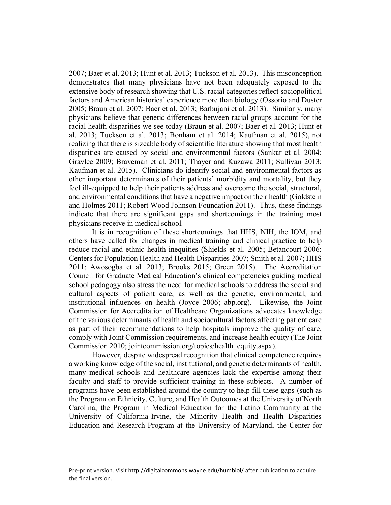2007; Baer et al. 2013; Hunt et al. 2013; Tuckson et al. 2013). This misconception demonstrates that many physicians have not been adequately exposed to the extensive body of research showing that U.S. racial categories reflect sociopolitical factors and American historical experience more than biology (Ossorio and Duster 2005; Braun et al. 2007; Baer et al. 2013; Barbujani et al. 2013). Similarly, many physicians believe that genetic differences between racial groups account for the racial health disparities we see today (Braun et al. 2007; Baer et al. 2013; Hunt et al. 2013; Tuckson et al. 2013; Bonham et al. 2014; Kaufman et al. 2015), not realizing that there is sizeable body of scientific literature showing that most health disparities are caused by social and environmental factors (Sankar et al. 2004; Gravlee 2009; Braveman et al. 2011; Thayer and Kuzawa 2011; Sullivan 2013; Kaufman et al. 2015). Clinicians do identify social and environmental factors as other important determinants of their patients' morbidity and mortality, but they feel ill-equipped to help their patients address and overcome the social, structural, and environmental conditions that have a negative impact on their health (Goldstein and Holmes 2011; Robert Wood Johnson Foundation 2011). Thus, these findings indicate that there are significant gaps and shortcomings in the training most physicians receive in medical school.

It is in recognition of these shortcomings that HHS, NIH, the IOM, and others have called for changes in medical training and clinical practice to help reduce racial and ethnic health inequities (Shields et al. 2005; Betancourt 2006; Centers for Population Health and Health Disparities 2007; Smith et al. 2007; HHS 2011; Awosogba et al. 2013; Brooks 2015; Green 2015). The Accreditation Council for Graduate Medical Education's clinical competencies guiding medical school pedagogy also stress the need for medical schools to address the social and cultural aspects of patient care, as well as the genetic, environmental, and institutional influences on health (Joyce 2006; abp.org). Likewise, the Joint Commission for Accreditation of Healthcare Organizations advocates knowledge of the various determinants of health and sociocultural factors affecting patient care as part of their recommendations to help hospitals improve the quality of care, comply with Joint Commission requirements, and increase health equity (The Joint Commission 2010; jointcommission.org/topics/health\_equity.aspx).

However, despite widespread recognition that clinical competence requires a working knowledge of the social, institutional, and genetic determinants of health, many medical schools and healthcare agencies lack the expertise among their faculty and staff to provide sufficient training in these subjects. A number of programs have been established around the country to help fill these gaps (such as the Program on Ethnicity, Culture, and Health Outcomes at the University of North Carolina, the Program in Medical Education for the Latino Community at the University of California-Irvine, the Minority Health and Health Disparities Education and Research Program at the University of Maryland, the Center for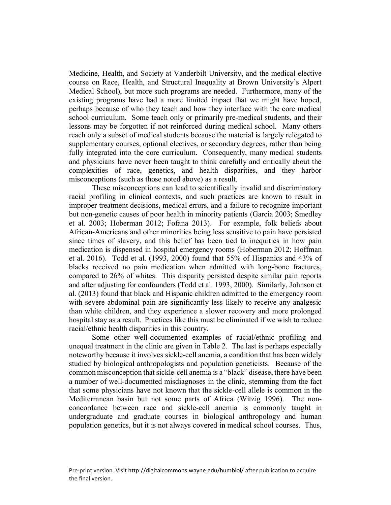Medicine, Health, and Society at Vanderbilt University, and the medical elective course on Race, Health, and Structural Inequality at Brown University's Alpert Medical School), but more such programs are needed. Furthermore, many of the existing programs have had a more limited impact that we might have hoped, perhaps because of who they teach and how they interface with the core medical school curriculum. Some teach only or primarily pre-medical students, and their lessons may be forgotten if not reinforced during medical school. Many others reach only a subset of medical students because the material is largely relegated to supplementary courses, optional electives, or secondary degrees, rather than being fully integrated into the core curriculum. Consequently, many medical students and physicians have never been taught to think carefully and critically about the complexities of race, genetics, and health disparities, and they harbor misconceptions (such as those noted above) as a result.

These misconceptions can lead to scientifically invalid and discriminatory racial profiling in clinical contexts, and such practices are known to result in improper treatment decisions, medical errors, and a failure to recognize important but non-genetic causes of poor health in minority patients (Garcia 2003; Smedley et al. 2003; Hoberman 2012; Fofana 2013). For example, folk beliefs about African-Americans and other minorities being less sensitive to pain have persisted since times of slavery, and this belief has been tied to inequities in how pain medication is dispensed in hospital emergency rooms (Hoberman 2012; Hoffman et al. 2016). Todd et al. (1993, 2000) found that 55% of Hispanics and 43% of blacks received no pain medication when admitted with long-bone fractures, compared to 26% of whites. This disparity persisted despite similar pain reports and after adjusting for confounders (Todd et al. 1993, 2000). Similarly, Johnson et al. (2013) found that black and Hispanic children admitted to the emergency room with severe abdominal pain are significantly less likely to receive any analgesic than white children, and they experience a slower recovery and more prolonged hospital stay as a result. Practices like this must be eliminated if we wish to reduce racial/ethnic health disparities in this country.

Some other well-documented examples of racial/ethnic profiling and unequal treatment in the clinic are given in Table 2. The last is perhaps especially noteworthy because it involves sickle-cell anemia, a condition that has been widely studied by biological anthropologists and population geneticists. Because of the common misconception that sickle-cell anemia is a "black" disease, there have been a number of well-documented misdiagnoses in the clinic, stemming from the fact that some physicians have not known that the sickle-cell allele is common in the Mediterranean basin but not some parts of Africa (Witzig 1996). The nonconcordance between race and sickle-cell anemia is commonly taught in undergraduate and graduate courses in biological anthropology and human population genetics, but it is not always covered in medical school courses. Thus,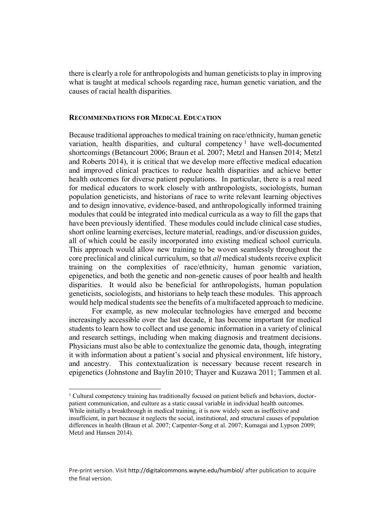there is clearly a role for anthropologists and human geneticists to play in improving what is taught at medical schools regarding race, human genetic variation, and the causes of racial health disparities.

#### RECOMMENDATIONS FOR MEDICAL EDUCATION

Because traditional approaches to medical training on race/ethnicity, human genetic variation, health disparities, and cultural competency<sup>1</sup> have well-documented shortcomings (Betancourt 2006; Braun et al. 2007; Metzl and Hansen 2014; Metzl and Roberts 2014), it is critical that we develop more effective medical education and improved clinical practices to reduce health disparities and achieve better health outcomes for diverse patient populations. In particular, there is a real need for medical educators to work closely with anthropologists, sociologists, human population geneticists, and historians of race to write relevant learning objectives and to design innovative, evidence-based, and anthropologically informed training modules that could be integrated into medical curricula as a way to fill the gaps that have been previously identified. These modules could include clinical case studies, short online learning exercises, lecture material, readings, and/or discussion guides, all of which could be easily incorporated into existing medical school curricula. This approach would allow new training to be woven seamlessly throughout the core preclinical and clinical curriculum, so that *all* medical students receive explicit training on the complexities of race/ethnicity, human genomic variation, epigenetics, and both the genetic and non-genetic causes of poor health and health disparities. It would also be beneficial for anthropologists, human population geneticists, sociologists, and historians to help teach these modules. This approach would help medical students see the benefits of a multifaceted approach to medicine.

For example, as new molecular technologies have emerged and become increasingly accessible over the last decade, it has become important for medical students to learn how to collect and use genomic information in a variety of clinical and research settings, including when making diagnosis and treatment decisions. Physicians must also be able to contextualize the genomic data, though, integrating it with information about a patient's social and physical environment, life history, and ancestry. This contextualization is necessary because recent research in epigenetics (Johnstone and Baylin 2010; Thayer and Kuzawa 2011; Tammen et al.

 $\overline{a}$ 

<sup>&</sup>lt;sup>1</sup> Cultural competency training has traditionally focused on patient beliefs and behaviors, doctorpatient communication, and culture as a static causal variable in individual health outcomes. While initially a breakthrough in medical training, it is now widely seen as ineffective and insufficient, in part because it neglects the social, institutional, and structural causes of population differences in health (Braun et al. 2007; Carpenter-Song et al. 2007; Kumagai and Lypson 2009; Metzl and Hansen 2014).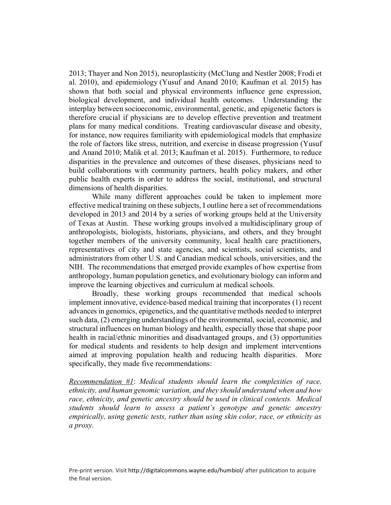2013; Thayer and Non 2015), neuroplasticity (McClung and Nestler 2008; Frodi et al. 2010), and epidemiology (Yusuf and Anand 2010; Kaufman et al. 2015) has shown that both social and physical environments influence gene expression, biological development, and individual health outcomes. Understanding the interplay between socioeconomic, environmental, genetic, and epigenetic factors is therefore crucial if physicians are to develop effective prevention and treatment plans for many medical conditions. Treating cardiovascular disease and obesity, for instance, now requires familiarity with epidemiological models that emphasize the role of factors like stress, nutrition, and exercise in disease progression (Yusuf and Anand 2010; Malik et al. 2013; Kaufman et al. 2015). Furthermore, to reduce disparities in the prevalence and outcomes of these diseases, physicians need to build collaborations with community partners, health policy makers, and other public health experts in order to address the social, institutional, and structural dimensions of health disparities.

While many different approaches could be taken to implement more effective medical training on these subjects, I outline here a set of recommendations developed in 2013 and 2014 by a series of working groups held at the University of Texas at Austin. These working groups involved a multidisciplinary group of anthropologists, biologists, historians, physicians, and others, and they brought together members of the university community, local health care practitioners, representatives of city and state agencies, and scientists, social scientists, and administrators from other U.S. and Canadian medical schools, universities, and the NIH. The recommendations that emerged provide examples of how expertise from anthropology, human population genetics, and evolutionary biology can inform and improve the learning objectives and curriculum at medical schools.

Broadly, these working groups recommended that medical schools implement innovative, evidence-based medical training that incorporates (1) recent advances in genomics, epigenetics, and the quantitative methods needed to interpret such data, (2) emerging understandings of the environmental, social, economic, and structural influences on human biology and health, especially those that shape poor health in racial/ethnic minorities and disadvantaged groups, and (3) opportunities for medical students and residents to help design and implement interventions aimed at improving population health and reducing health disparities. More specifically, they made five recommendations:

*Recommendation #1*: *Medical students should learn the complexities of race, ethnicity, and human genomic variation, and they should understand when and how race, ethnicity, and genetic ancestry should be used in clinical contexts. Medical students should learn to assess a patient's genotype and genetic ancestry empirically, using genetic tests, rather than using skin color, race, or ethnicity as a proxy.*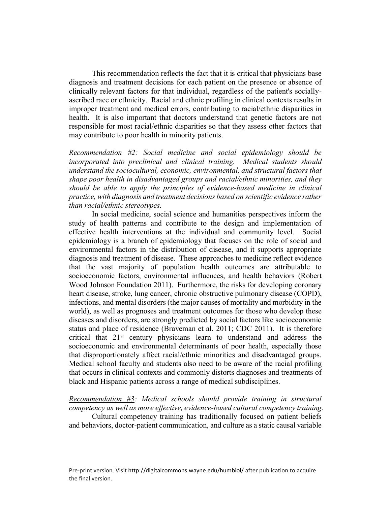This recommendation reflects the fact that it is critical that physicians base diagnosis and treatment decisions for each patient on the presence or absence of clinically relevant factors for that individual, regardless of the patient's sociallyascribed race or ethnicity. Racial and ethnic profiling in clinical contexts results in improper treatment and medical errors, contributing to racial/ethnic disparities in health. It is also important that doctors understand that genetic factors are not responsible for most racial/ethnic disparities so that they assess other factors that may contribute to poor health in minority patients.

*Recommendation #2: Social medicine and social epidemiology should be incorporated into preclinical and clinical training. Medical students should understand the sociocultural, economic, environmental, and structural factors that shape poor health in disadvantaged groups and racial/ethnic minorities, and they should be able to apply the principles of evidence-based medicine in clinical practice, with diagnosis and treatment decisions based on scientific evidence rather than racial/ethnic stereotypes.*

In social medicine, social science and humanities perspectives inform the study of health patterns and contribute to the design and implementation of effective health interventions at the individual and community level. Social epidemiology is a branch of epidemiology that focuses on the role of social and environmental factors in the distribution of disease, and it supports appropriate diagnosis and treatment of disease. These approaches to medicine reflect evidence that the vast majority of population health outcomes are attributable to socioeconomic factors, environmental influences, and health behaviors (Robert Wood Johnson Foundation 2011). Furthermore, the risks for developing coronary heart disease, stroke, lung cancer, chronic obstructive pulmonary disease (COPD), infections, and mental disorders (the major causes of mortality and morbidity in the world), as well as prognoses and treatment outcomes for those who develop these diseases and disorders, are strongly predicted by social factors like socioeconomic status and place of residence (Braveman et al. 2011; CDC 2011). It is therefore critical that  $21<sup>st</sup>$  century physicians learn to understand and address the socioeconomic and environmental determinants of poor health, especially those that disproportionately affect racial/ethnic minorities and disadvantaged groups. Medical school faculty and students also need to be aware of the racial profiling that occurs in clinical contexts and commonly distorts diagnoses and treatments of black and Hispanic patients across a range of medical subdisciplines.

*Recommendation #3: Medical schools should provide training in structural competency as well as more effective, evidence-based cultural competency training.*

Cultural competency training has traditionally focused on patient beliefs and behaviors, doctor-patient communication, and culture as a static causal variable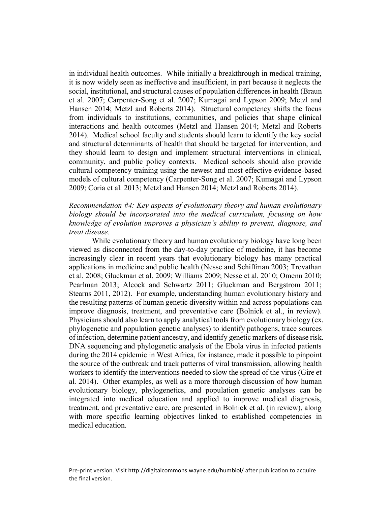in individual health outcomes. While initially a breakthrough in medical training, it is now widely seen as ineffective and insufficient, in part because it neglects the social, institutional, and structural causes of population differences in health (Braun et al. 2007; Carpenter-Song et al. 2007; Kumagai and Lypson 2009; Metzl and Hansen 2014; Metzl and Roberts 2014). Structural competency shifts the focus from individuals to institutions, communities, and policies that shape clinical interactions and health outcomes (Metzl and Hansen 2014; Metzl and Roberts 2014). Medical school faculty and students should learn to identify the key social and structural determinants of health that should be targeted for intervention, and they should learn to design and implement structural interventions in clinical, community, and public policy contexts. Medical schools should also provide cultural competency training using the newest and most effective evidence-based models of cultural competency (Carpenter-Song et al. 2007; Kumagai and Lypson 2009; Coria et al. 2013; Metzl and Hansen 2014; Metzl and Roberts 2014).

## *Recommendation #4: Key aspects of evolutionary theory and human evolutionary biology should be incorporated into the medical curriculum, focusing on how knowledge of evolution improves a physician's ability to prevent, diagnose, and treat disease.*

While evolutionary theory and human evolutionary biology have long been viewed as disconnected from the day-to-day practice of medicine, it has become increasingly clear in recent years that evolutionary biology has many practical applications in medicine and public health (Nesse and Schiffman 2003; Trevathan et al. 2008; Gluckman et al. 2009; Williams 2009; Nesse et al. 2010; Omenn 2010; Pearlman 2013; Alcock and Schwartz 2011; Gluckman and Bergstrom 2011; Stearns 2011, 2012). For example, understanding human evolutionary history and the resulting patterns of human genetic diversity within and across populations can improve diagnosis, treatment, and preventative care (Bolnick et al., in review). Physicians should also learn to apply analytical tools from evolutionary biology (ex. phylogenetic and population genetic analyses) to identify pathogens, trace sources of infection, determine patient ancestry, and identify genetic markers of disease risk. DNA sequencing and phylogenetic analysis of the Ebola virus in infected patients during the 2014 epidemic in West Africa, for instance, made it possible to pinpoint the source of the outbreak and track patterns of viral transmission, allowing health workers to identify the interventions needed to slow the spread of the virus (Gire et al. 2014). Other examples, as well as a more thorough discussion of how human evolutionary biology, phylogenetics, and population genetic analyses can be integrated into medical education and applied to improve medical diagnosis, treatment, and preventative care, are presented in Bolnick et al. (in review), along with more specific learning objectives linked to established competencies in medical education.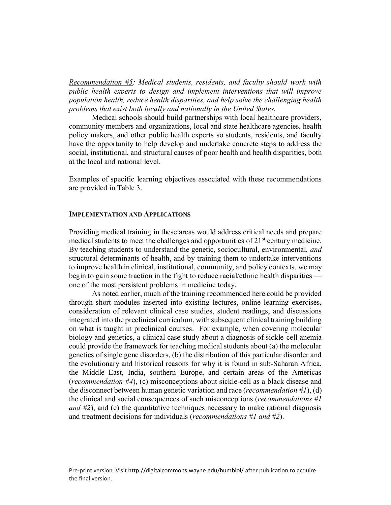*Recommendation #5: Medical students, residents, and faculty should work with public health experts to design and implement interventions that will improve population health, reduce health disparities, and help solve the challenging health problems that exist both locally and nationally in the United States.*

Medical schools should build partnerships with local healthcare providers, community members and organizations, local and state healthcare agencies, health policy makers, and other public health experts so students, residents, and faculty have the opportunity to help develop and undertake concrete steps to address the social, institutional, and structural causes of poor health and health disparities, both at the local and national level.

Examples of specific learning objectives associated with these recommendations are provided in Table 3.

#### IMPLEMENTATION AND APPLICATIONS

Providing medical training in these areas would address critical needs and prepare medical students to meet the challenges and opportunities of  $21<sup>st</sup>$  century medicine. By teaching students to understand the genetic, sociocultural, environmental, *and* structural determinants of health, and by training them to undertake interventions to improve health in clinical, institutional, community, and policy contexts, we may begin to gain some traction in the fight to reduce racial/ethnic health disparities one of the most persistent problems in medicine today.

As noted earlier, much of the training recommended here could be provided through short modules inserted into existing lectures, online learning exercises, consideration of relevant clinical case studies, student readings, and discussions integrated into the preclinical curriculum, with subsequent clinical training building on what is taught in preclinical courses. For example, when covering molecular biology and genetics, a clinical case study about a diagnosis of sickle-cell anemia could provide the framework for teaching medical students about (a) the molecular genetics of single gene disorders, (b) the distribution of this particular disorder and the evolutionary and historical reasons for why it is found in sub-Saharan Africa, the Middle East, India, southern Europe, and certain areas of the Americas (*recommendation #4*), (c) misconceptions about sickle-cell as a black disease and the disconnect between human genetic variation and race (*recommendation #1*), (d) the clinical and social consequences of such misconceptions (*recommendations #1 and #2*), and (e) the quantitative techniques necessary to make rational diagnosis and treatment decisions for individuals (*recommendations #1 and #2*).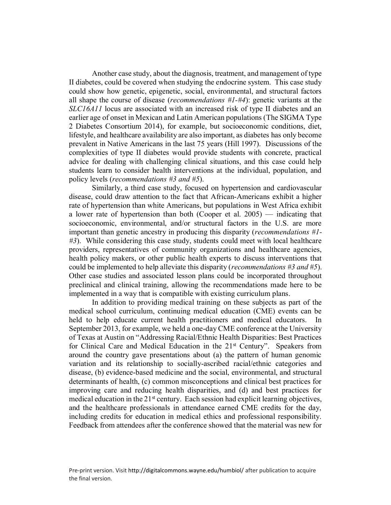Another case study, about the diagnosis, treatment, and management of type II diabetes, could be covered when studying the endocrine system. This case study could show how genetic, epigenetic, social, environmental, and structural factors all shape the course of disease (*recommendations #1-#4*): genetic variants at the *SLC16A11* locus are associated with an increased risk of type II diabetes and an earlier age of onset in Mexican and Latin American populations (The SIGMA Type 2 Diabetes Consortium 2014), for example, but socioeconomic conditions, diet, lifestyle, and healthcare availability are also important, as diabetes has only become prevalent in Native Americans in the last 75 years (Hill 1997). Discussions of the complexities of type II diabetes would provide students with concrete, practical advice for dealing with challenging clinical situations, and this case could help students learn to consider health interventions at the individual, population, and policy levels (*recommendations #3 and #5*).

Similarly, a third case study, focused on hypertension and cardiovascular disease, could draw attention to the fact that African-Americans exhibit a higher rate of hypertension than white Americans, but populations in West Africa exhibit a lower rate of hypertension than both (Cooper et al. 2005) — indicating that socioeconomic, environmental, and/or structural factors in the U.S. are more important than genetic ancestry in producing this disparity (*recommendations #1- #3*). While considering this case study, students could meet with local healthcare providers, representatives of community organizations and healthcare agencies, health policy makers, or other public health experts to discuss interventions that could be implemented to help alleviate this disparity (*recommendations #3 and #5*). Other case studies and associated lesson plans could be incorporated throughout preclinical and clinical training, allowing the recommendations made here to be implemented in a way that is compatible with existing curriculum plans.

In addition to providing medical training on these subjects as part of the medical school curriculum, continuing medical education (CME) events can be held to help educate current health practitioners and medical educators. In September 2013, for example, we held a one-day CME conference at the University of Texas at Austin on "Addressing Racial/Ethnic Health Disparities: Best Practices for Clinical Care and Medical Education in the 21<sup>st</sup> Century". Speakers from around the country gave presentations about (a) the pattern of human genomic variation and its relationship to socially-ascribed racial/ethnic categories and disease, (b) evidence-based medicine and the social, environmental, and structural determinants of health, (c) common misconceptions and clinical best practices for improving care and reducing health disparities, and (d) and best practices for medical education in the  $21<sup>st</sup>$  century. Each session had explicit learning objectives, and the healthcare professionals in attendance earned CME credits for the day, including credits for education in medical ethics and professional responsibility. Feedback from attendees after the conference showed that the material was new for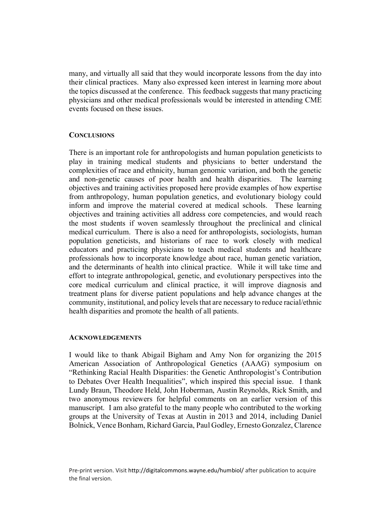many, and virtually all said that they would incorporate lessons from the day into their clinical practices. Many also expressed keen interest in learning more about the topics discussed at the conference. This feedback suggests that many practicing physicians and other medical professionals would be interested in attending CME events focused on these issues.

### **CONCLUSIONS**

There is an important role for anthropologists and human population geneticists to play in training medical students and physicians to better understand the complexities of race and ethnicity, human genomic variation, and both the genetic and non-genetic causes of poor health and health disparities. The learning objectives and training activities proposed here provide examples of how expertise from anthropology, human population genetics, and evolutionary biology could inform and improve the material covered at medical schools. These learning objectives and training activities all address core competencies, and would reach the most students if woven seamlessly throughout the preclinical and clinical medical curriculum. There is also a need for anthropologists, sociologists, human population geneticists, and historians of race to work closely with medical educators and practicing physicians to teach medical students and healthcare professionals how to incorporate knowledge about race, human genetic variation, and the determinants of health into clinical practice. While it will take time and effort to integrate anthropological, genetic, and evolutionary perspectives into the core medical curriculum and clinical practice, it will improve diagnosis and treatment plans for diverse patient populations and help advance changes at the community, institutional, and policy levels that are necessary to reduce racial/ethnic health disparities and promote the health of all patients.

### ACKNOWLEDGEMENTS

I would like to thank Abigail Bigham and Amy Non for organizing the 2015 American Association of Anthropological Genetics (AAAG) symposium on "Rethinking Racial Health Disparities: the Genetic Anthropologist's Contribution to Debates Over Health Inequalities", which inspired this special issue. I thank Lundy Braun, Theodore Held, John Hoberman, Austin Reynolds, Rick Smith, and two anonymous reviewers for helpful comments on an earlier version of this manuscript. I am also grateful to the many people who contributed to the working groups at the University of Texas at Austin in 2013 and 2014, including Daniel Bolnick, Vence Bonham, Richard Garcia, Paul Godley, Ernesto Gonzalez, Clarence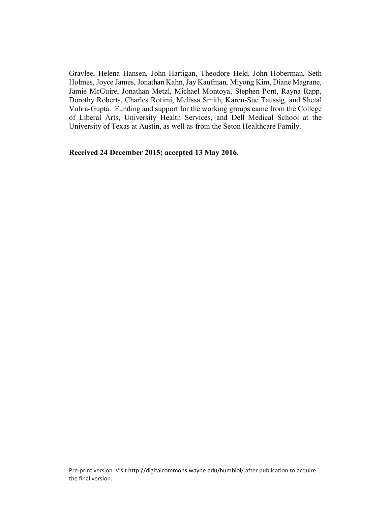Gravlee, Helena Hansen, John Hartigan, Theodore Held, John Hoberman, Seth Holmes, Joyce James, Jonathan Kahn, Jay Kaufman, Miyong Kim, Diane Magrane, Jamie McGuire, Jonathan Metzl, Michael Montoya, Stephen Pont, Rayna Rapp, Dorothy Roberts, Charles Rotimi, Melissa Smith, Karen-Sue Taussig, and Shetal Vohra-Gupta. Funding and support for the working groups came from the College of Liberal Arts, University Health Services, and Dell Medical School at the University of Texas at Austin, as well as from the Seton Healthcare Family.

Received 24 December 2015; accepted 13 May 2016.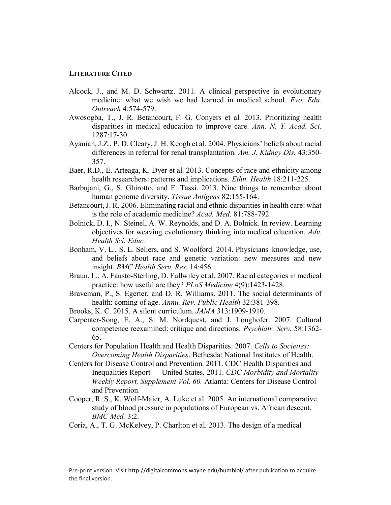#### LITERATURE CITED

- Alcock, J., and M. D. Schwartz. 2011. A clinical perspective in evolutionary medicine: what we wish we had learned in medical school. *Evo. Edu. Outreach* 4:574-579.
- Awosogba, T., J. R. Betancourt, F. G. Conyers et al. 2013. Prioritizing health disparities in medical education to improve care. *Ann. N. Y. Acad. Sci.* 1287:17-30.
- Ayanian, J.Z., P. D. Cleary, J. H. Keogh et al. 2004. Physicians' beliefs about racial differences in referral for renal transplantation. *Am. J. Kidney Dis.* 43:350- 357.
- Baer, R.D., E. Arteaga, K. Dyer et al. 2013. Concepts of race and ethnicity among health researchers: patterns and implications. *Ethn. Health* 18:211-225.
- Barbujani, G., S. Ghirotto, and F. Tassi. 2013. Nine things to remember about human genome diversity. *Tissue Antigens* 82:155-164.
- Betancourt, J. R. 2006. Eliminating racial and ethnic disparities in health care: what is the role of academic medicine? *Acad. Med.* 81:788-792.
- Bolnick, D. I., N. Steinel, A. W. Reynolds, and D. A. Bolnick. In review. Learning objectives for weaving evolutionary thinking into medical education. *Adv. Health Sci. Educ.*
- Bonham, V. L., S. L. Sellers, and S. Woolford. 2014. Physicians' knowledge, use, and beliefs about race and genetic variation: new measures and new insight. *BMC Health Serv. Res.* 14:456.
- Braun, L., A. Fausto-Sterling, D. Fullwiley et al. 2007. Racial categories in medical practice: how useful are they? *PLoS Medicine* 4(9):1423-1428.
- Braveman, P., S. Egerter, and D. R. Williams. 2011. The social determinants of health: coming of age. *Annu. Rev. Public Health* 32:381-398.
- Brooks, K. C. 2015. A silent curriculum. *JAMA* 313:1909-1910.
- Carpenter-Song, E. A., S. M. Nordquest, and J. Longhofer. 2007. Cultural competence reexamined: critique and directions. *Psychiatr. Serv.* 58:1362- 65.
- Centers for Population Health and Health Disparities. 2007. *Cells to Societies: Overcoming Health Disparities*. Bethesda: National Institutes of Health.
- Centers for Disease Control and Prevention. 2011. CDC Health Disparities and Inequalities Report — United States, 2011. *CDC Morbidity and Mortality Weekly Report, Supplement Vol. 60.* Atlanta: Centers for Disease Control and Prevention.
- Cooper, R. S., K. Wolf-Maier, A. Luke et al. 2005. An international comparative study of blood pressure in populations of European vs. African descent. *BMC Med.* 3:2.
- Coria, A., T. G. McKelvey, P. Charlton et al. 2013. The design of a medical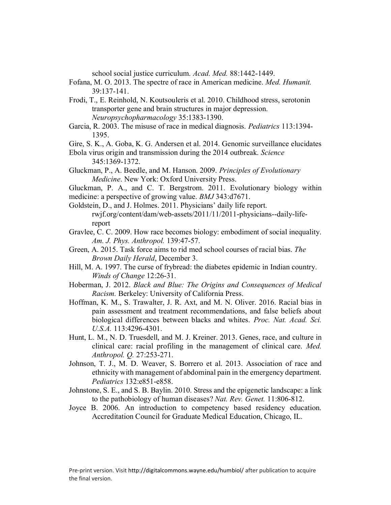school social justice curriculum. *Acad. Med.* 88:1442-1449.

- Fofana, M. O. 2013. The spectre of race in American medicine. *Med. Humanit.* 39:137-141.
- Frodi, T., E. Reinhold, N. Koutsouleris et al. 2010. Childhood stress, serotonin transporter gene and brain structures in major depression. *Neuropsychopharmacology* 35:1383-1390.
- Garcia, R. 2003. The misuse of race in medical diagnosis. *Pediatrics* 113:1394- 1395.

Gire, S. K., A. Goba, K. G. Andersen et al. 2014. Genomic surveillance elucidates

Ebola virus origin and transmission during the 2014 outbreak. *Science* 345:1369-1372.

Gluckman, P., A. Beedle, and M. Hanson. 2009. *Principles of Evolutionary Medicine*. New York: Oxford University Press.

Gluckman, P. A., and C. T. Bergstrom. 2011. Evolutionary biology within medicine: a perspective of growing value. *BMJ* 343:d7671.

- Goldstein, D., and J. Holmes. 2011. Physicians' daily life report. rwjf.org/content/dam/web-assets/2011/11/2011-physicians--daily-lifereport
- Gravlee, C. C. 2009. How race becomes biology: embodiment of social inequality. *Am. J. Phys. Anthropol.* 139:47-57.
- Green, A. 2015. Task force aims to rid med school courses of racial bias. *The Brown Daily Herald*, December 3.
- Hill, M. A. 1997. The curse of frybread: the diabetes epidemic in Indian country. *Winds of Change* 12:26-31.
- Hoberman, J. 2012. *Black and Blue: The Origins and Consequences of Medical Racism.* Berkeley: University of California Press.
- Hoffman, K. M., S. Trawalter, J. R. Axt, and M. N. Oliver. 2016. Racial bias in pain assessment and treatment recommendations, and false beliefs about biological differences between blacks and whites. *Proc. Nat. Acad. Sci. U.S.A.* 113:4296-4301.
- Hunt, L. M., N. D. Truesdell, and M. J. Kreiner. 2013. Genes, race, and culture in clinical care: racial profiling in the management of clinical care. *Med. Anthropol. Q.* 27:253-271.
- Johnson, T. J., M. D. Weaver, S. Borrero et al. 2013. Association of race and ethnicity with management of abdominal pain in the emergency department. *Pediatrics* 132:e851-e858.
- Johnstone, S. E., and S. B. Baylin. 2010. Stress and the epigenetic landscape: a link to the pathobiology of human diseases? *Nat. Rev. Genet.* 11:806-812.
- Joyce B. 2006. An introduction to competency based residency education. Accreditation Council for Graduate Medical Education, Chicago, IL.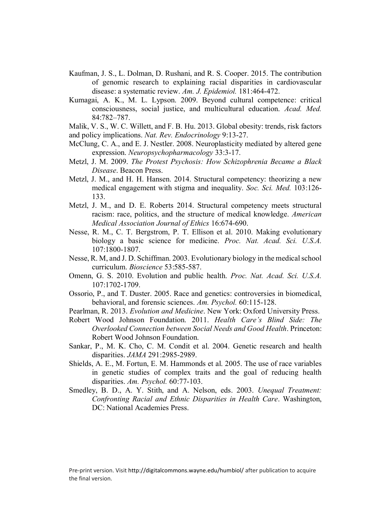- Kaufman, J. S., L. Dolman, D. Rushani, and R. S. Cooper. 2015. The contribution of genomic research to explaining racial disparities in cardiovascular disease: a systematic review. *Am. J. Epidemiol.* 181:464-472.
- Kumagai, A. K., M. L. Lypson. 2009. Beyond cultural competence: critical consciousness, social justice, and multicultural education. *Acad. Med.* 84:782–787.
- Malik, V. S., W. C. Willett, and F. B. Hu. 2013. Global obesity: trends, risk factors and policy implications. *Nat. Rev. Endocrinology* 9:13-27.
- McClung, C. A., and E. J. Nestler. 2008. Neuroplasticity mediated by altered gene expression. *Neuropsychopharmacology* 33:3-17.
- Metzl, J. M. 2009. *The Protest Psychosis: How Schizophrenia Became a Black Disease*. Beacon Press.
- Metzl, J. M., and H. H. Hansen. 2014. Structural competency: theorizing a new medical engagement with stigma and inequality. *Soc. Sci. Med.* 103:126- 133.
- Metzl, J. M., and D. E. Roberts 2014. Structural competency meets structural racism: race, politics, and the structure of medical knowledge. *American Medical Association Journal of Ethics* 16:674-690.
- Nesse, R. M., C. T. Bergstrom, P. T. Ellison et al. 2010. Making evolutionary biology a basic science for medicine. *Proc. Nat. Acad. Sci. U.S.A.*  107:1800-1807.
- Nesse, R. M, and J. D. Schiffman. 2003. Evolutionary biology in the medical school curriculum. *Bioscience* 53:585-587.
- Omenn, G. S. 2010. Evolution and public health. *Proc. Nat. Acad. Sci. U.S.A.* 107:1702-1709.
- Ossorio, P., and T. Duster. 2005. Race and genetics: controversies in biomedical, behavioral, and forensic sciences. *Am. Psychol.* 60:115-128.
- Pearlman, R. 2013. *Evolution and Medicine*. New York: Oxford University Press.
- Robert Wood Johnson Foundation. 2011. *Health Care's Blind Side: The Overlooked Connection between Social Needs and Good Health*. Princeton: Robert Wood Johnson Foundation.
- Sankar, P., M. K. Cho, C. M. Condit et al. 2004. Genetic research and health disparities. *JAMA* 291:2985-2989.
- Shields, A. E., M. Fortun, E. M. Hammonds et al. 2005. The use of race variables in genetic studies of complex traits and the goal of reducing health disparities. *Am. Psychol.* 60:77-103.
- Smedley, B. D., A. Y. Stith, and A. Nelson, eds. 2003. *Unequal Treatment: Confronting Racial and Ethnic Disparities in Health Care*. Washington, DC: National Academies Press.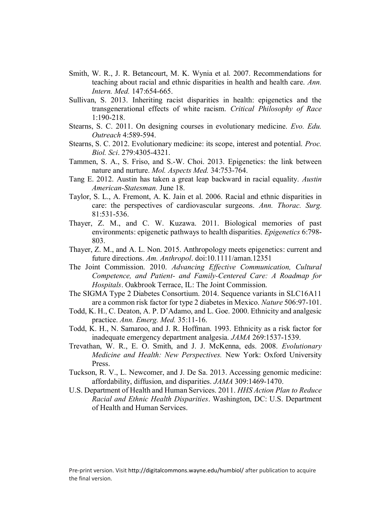- Smith, W. R., J. R. Betancourt, M. K. Wynia et al. 2007. Recommendations for teaching about racial and ethnic disparities in health and health care. *Ann. Intern. Med.* 147:654-665.
- Sullivan, S. 2013. Inheriting racist disparities in health: epigenetics and the transgenerational effects of white racism. *Critical Philosophy of Race* 1:190-218.
- Stearns, S. C. 2011. On designing courses in evolutionary medicine. *Evo. Edu. Outreach* 4:589-594.
- Stearns, S. C. 2012. Evolutionary medicine: its scope, interest and potential. *Proc. Biol. Sci*. 279:4305-4321.
- Tammen, S. A., S. Friso, and S.-W. Choi. 2013. Epigenetics: the link between nature and nurture. *Mol. Aspects Med.* 34:753-764.
- Tang E. 2012. Austin has taken a great leap backward in racial equality. *Austin American-Statesman.* June 18.
- Taylor, S. L., A. Fremont, A. K. Jain et al. 2006. Racial and ethnic disparities in care: the perspectives of cardiovascular surgeons. *Ann. Thorac. Surg.* 81:531-536.
- Thayer, Z. M., and C. W. Kuzawa. 2011. Biological memories of past environments: epigenetic pathways to health disparities. *Epigenetics* 6:798- 803.
- Thayer, Z. M., and A. L. Non. 2015. Anthropology meets epigenetics: current and future directions. *Am. Anthropol*. doi:10.1111/aman.12351
- The Joint Commission. 2010. *Advancing Effective Communication, Cultural Competence, and Patient- and Family-Centered Care: A Roadmap for Hospitals*. Oakbrook Terrace, IL: The Joint Commission.
- The SIGMA Type 2 Diabetes Consortium. 2014. Sequence variants in SLC16A11 are a common risk factor for type 2 diabetes in Mexico. *Nature* 506:97-101.
- Todd, K. H., C. Deaton, A. P. D'Adamo, and L. Goe. 2000. Ethnicity and analgesic practice. *Ann. Emerg. Med.* 35:11-16.
- Todd, K. H., N. Samaroo, and J. R. Hoffman. 1993. Ethnicity as a risk factor for inadequate emergency department analgesia. *JAMA* 269:1537-1539.
- Trevathan, W. R., E. O. Smith, and J. J. McKenna, eds. 2008. *Evolutionary Medicine and Health: New Perspectives.* New York: Oxford University Press.
- Tuckson, R. V., L. Newcomer, and J. De Sa. 2013. Accessing genomic medicine: affordability, diffusion, and disparities. *JAMA* 309:1469-1470.
- U.S. Department of Health and Human Services. 2011. *HHS Action Plan to Reduce Racial and Ethnic Health Disparities*. Washington, DC: U.S. Department of Health and Human Services.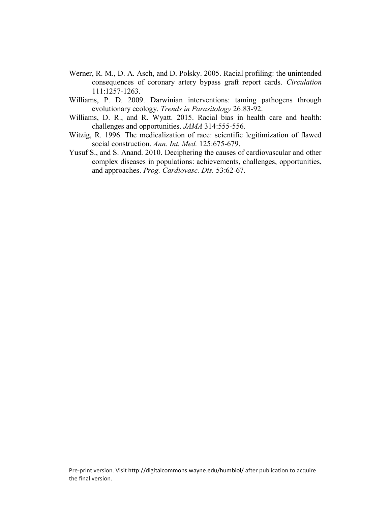- Werner, R. M., D. A. Asch, and D. Polsky. 2005. Racial profiling: the unintended consequences of coronary artery bypass graft report cards. *Circulation*  111:1257-1263.
- Williams, P. D. 2009. Darwinian interventions: taming pathogens through evolutionary ecology. *Trends in Parasitology* 26:83-92.
- Williams, D. R., and R. Wyatt. 2015. Racial bias in health care and health: challenges and opportunities. *JAMA* 314:555-556.
- Witzig, R. 1996. The medicalization of race: scientific legitimization of flawed social construction. *Ann. Int. Med.* 125:675-679.
- Yusuf S., and S. Anand. 2010. Deciphering the causes of cardiovascular and other complex diseases in populations: achievements, challenges, opportunities, and approaches. *Prog. Cardiovasc. Dis.* 53:62-67.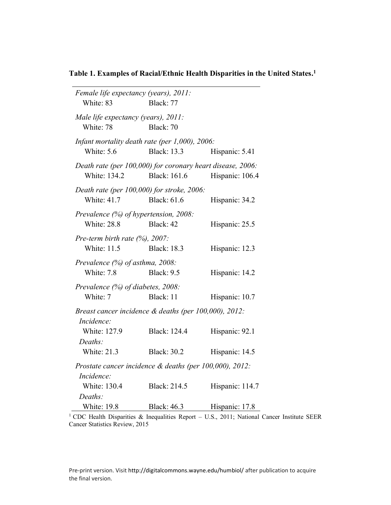Table 1. Examples of Racial/Ethnic Health Disparities in the United States. 1

| Female life expectancy (years), 2011:<br>White: 83 | Black: 77                                                  |                 |
|----------------------------------------------------|------------------------------------------------------------|-----------------|
| Male life expectancy (years), 2011:<br>White: 78   | Black: 70                                                  |                 |
|                                                    | Infant mortality death rate (per $1,000$ ), $2006$ :       |                 |
| White: $5.6$                                       | <b>Black: 13.3</b>                                         | Hispanic: 5.41  |
|                                                    | Death rate (per 100,000) for coronary heart disease, 2006: |                 |
| White: 134.2                                       | Black: 161.6                                               | Hispanic: 106.4 |
|                                                    | Death rate (per 100,000) for stroke, 2006:                 |                 |
| <b>White: 41.7</b>                                 | <b>Black: 61.6</b>                                         | Hispanic: 34.2  |
| Prevalence $(\%)$ of hypertension, 2008:           |                                                            |                 |
| <b>White: 28.8</b>                                 | Black: 42                                                  | Hispanic: 25.5  |
| Pre-term birth rate $(\%)$ , 2007:                 |                                                            |                 |
| <b>White: 11.5</b>                                 | <b>Black: 18.3</b>                                         | Hispanic: 12.3  |
| Prevalence (%) of asthma, 2008:                    |                                                            |                 |
| White: 7.8                                         | <b>Black: 9.5</b>                                          | Hispanic: 14.2  |
| Prevalence (%) of diabetes, 2008:                  |                                                            |                 |
| White: 7                                           | Black: 11                                                  | Hispanic: 10.7  |
|                                                    | Breast cancer incidence & deaths (per 100,000), 2012:      |                 |
| Incidence:                                         |                                                            |                 |
| White: 127.9                                       | Black: 124.4                                               | Hispanic: 92.1  |
| Deaths:                                            |                                                            |                 |
| <b>White: 21.3</b>                                 | <b>Black: 30.2</b>                                         | Hispanic: 14.5  |
|                                                    | Prostate cancer incidence & deaths (per 100,000), 2012:    |                 |
| Incidence:                                         |                                                            |                 |
| White: 130.4                                       | <b>Black: 214.5</b>                                        | Hispanic: 114.7 |
| Deaths:                                            |                                                            |                 |
| <b>White: 19.8</b>                                 | <b>Black: 46.3</b>                                         | Hispanic: 17.8  |

<sup>1</sup> CDC Health Disparities & Inequalities Report – U.S., 2011; National Cancer Institute SEER Cancer Statistics Review, 2015

Pre-print version. Visit http://digitalcommons.wayne.edu/humbiol/ after publication to acquire the final version.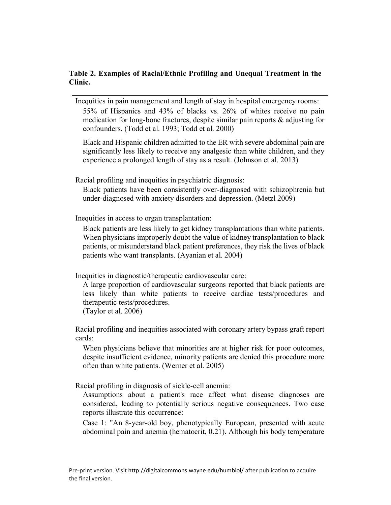# Table 2. Examples of Racial/Ethnic Profiling and Unequal Treatment in the Clinic.

Inequities in pain management and length of stay in hospital emergency rooms: 55% of Hispanics and 43% of blacks vs. 26% of whites receive no pain medication for long-bone fractures, despite similar pain reports & adjusting for confounders. (Todd et al. 1993; Todd et al. 2000)

Black and Hispanic children admitted to the ER with severe abdominal pain are significantly less likely to receive any analgesic than white children, and they experience a prolonged length of stay as a result. (Johnson et al. 2013)

Racial profiling and inequities in psychiatric diagnosis:

Black patients have been consistently over-diagnosed with schizophrenia but under-diagnosed with anxiety disorders and depression. (Metzl 2009)

Inequities in access to organ transplantation:

Black patients are less likely to get kidney transplantations than white patients. When physicians improperly doubt the value of kidney transplantation to black patients, or misunderstand black patient preferences, they risk the lives of black patients who want transplants. (Ayanian et al. 2004)

Inequities in diagnostic/therapeutic cardiovascular care:

A large proportion of cardiovascular surgeons reported that black patients are less likely than white patients to receive cardiac tests/procedures and therapeutic tests/procedures.

(Taylor et al. 2006)

Racial profiling and inequities associated with coronary artery bypass graft report cards:

When physicians believe that minorities are at higher risk for poor outcomes, despite insufficient evidence, minority patients are denied this procedure more often than white patients. (Werner et al. 2005)

Racial profiling in diagnosis of sickle-cell anemia:

Assumptions about a patient's race affect what disease diagnoses are considered, leading to potentially serious negative consequences. Two case reports illustrate this occurrence:

Case 1: "An 8-year-old boy, phenotypically European, presented with acute abdominal pain and anemia (hematocrit, 0.21). Although his body temperature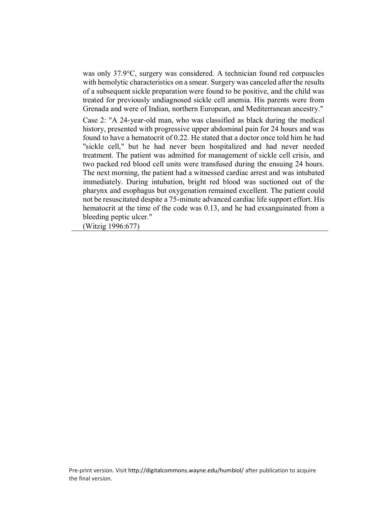was only 37.9°C, surgery was considered. A technician found red corpuscles with hemolytic characteristics on a smear. Surgery was canceled after the results of a subsequent sickle preparation were found to be positive, and the child was treated for previously undiagnosed sickle cell anemia. His parents were from Grenada and were of Indian, northern European, and Mediterranean ancestry."

Case 2: "A 24-year-old man, who was classified as black during the medical history, presented with progressive upper abdominal pain for 24 hours and was found to have a hematocrit of 0.22. He stated that a doctor once told him he had "sickle cell," but he had never been hospitalized and had never needed treatment. The patient was admitted for management of sickle cell crisis, and two packed red blood cell units were transfused during the ensuing 24 hours. The next morning, the patient had a witnessed cardiac arrest and was intubated immediately. During intubation, bright red blood was suctioned out of the pharynx and esophagus but oxygenation remained excellent. The patient could not be resuscitated despite a 75-minute advanced cardiac life support effort. His hematocrit at the time of the code was 0.13, and he had exsanguinated from a bleeding peptic ulcer."

(Witzig 1996:677)